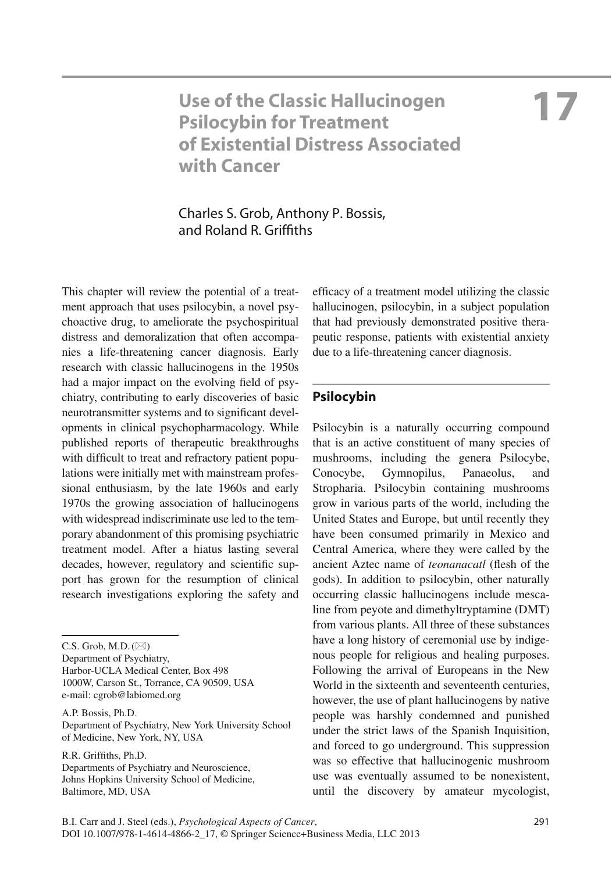# Use of the Classic Hallucinogen **17 Psilocybin for Treatment of Existential Distress Associated with Cancer**

 Charles S. Grob, Anthony P. Bossis, and Roland R. Griffiths

 This chapter will review the potential of a treatment approach that uses psilocybin, a novel psychoactive drug, to ameliorate the psychospiritual distress and demoralization that often accompanies a life-threatening cancer diagnosis. Early research with classic hallucinogens in the 1950s had a major impact on the evolving field of psychiatry, contributing to early discoveries of basic neurotransmitter systems and to significant developments in clinical psychopharmacology. While published reports of therapeutic breakthroughs with difficult to treat and refractory patient populations were initially met with mainstream professional enthusiasm, by the late 1960s and early 1970s the growing association of hallucinogens with widespread indiscriminate use led to the temporary abandonment of this promising psychiatric treatment model. After a hiatus lasting several decades, however, regulatory and scientific support has grown for the resumption of clinical research investigations exploring the safety and

Department of Psychiatry,

Harbor-UCLA Medical Center, Box 498

1000W, Carson St., Torrance, CA 90509, USA e-mail: cgrob@labiomed.org

A.P. Bossis, Ph.D. Department of Psychiatry, New York University School of Medicine, New York, NY, USA

R.R. Griffiths, Ph.D. Departments of Psychiatry and Neuroscience, Johns Hopkins University School of Medicine, Baltimore, MD, USA

efficacy of a treatment model utilizing the classic hallucinogen, psilocybin, in a subject population that had previously demonstrated positive therapeutic response, patients with existential anxiety due to a life-threatening cancer diagnosis.

## **Psilocybin**

 Psilocybin is a naturally occurring compound that is an active constituent of many species of mushrooms, including the genera Psilocybe, Conocybe, Gymnopilus, Panaeolus, and Stropharia. Psilocybin containing mushrooms grow in various parts of the world, including the United States and Europe, but until recently they have been consumed primarily in Mexico and Central America, where they were called by the ancient Aztec name of *teonanacatl* (flesh of the gods). In addition to psilocybin, other naturally occurring classic hallucinogens include mescaline from peyote and dimethyltryptamine (DMT) from various plants. All three of these substances have a long history of ceremonial use by indigenous people for religious and healing purposes. Following the arrival of Europeans in the New World in the sixteenth and seventeenth centuries, however, the use of plant hallucinogens by native people was harshly condemned and punished under the strict laws of the Spanish Inquisition, and forced to go underground. This suppression was so effective that hallucinogenic mushroom use was eventually assumed to be nonexistent, until the discovery by amateur mycologist,

C.S. Grob, M.D.  $(\boxtimes)$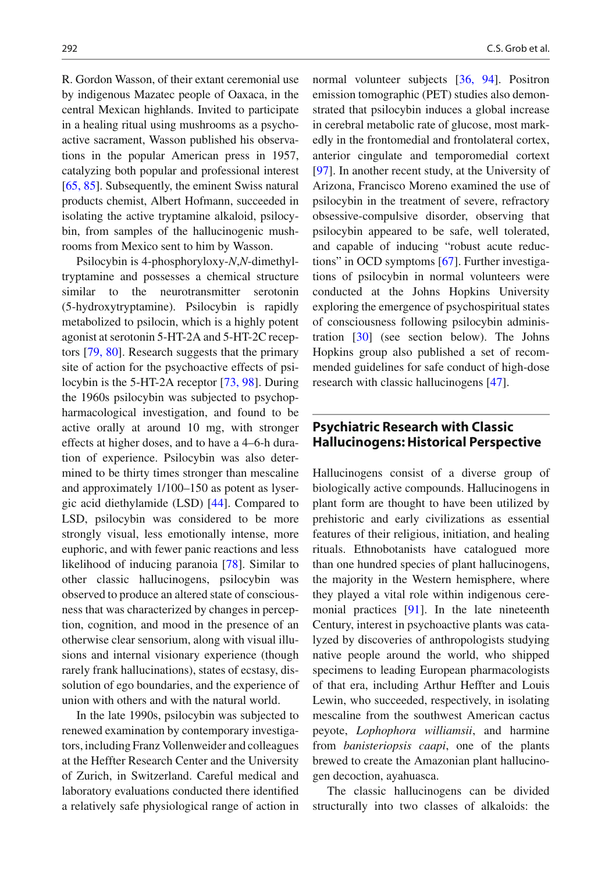R. Gordon Wasson, of their extant ceremonial use by indigenous Mazatec people of Oaxaca, in the central Mexican highlands. Invited to participate in a healing ritual using mushrooms as a psychoactive sacrament, Wasson published his observations in the popular American press in 1957, catalyzing both popular and professional interest [65, [85](#page-16-1)]. Subsequently, the eminent Swiss natural products chemist, Albert Hofmann, succeeded in isolating the active tryptamine alkaloid, psilocybin, from samples of the hallucinogenic mushrooms from Mexico sent to him by Wasson.

Psilocybin is 4-phosphoryloxy-*N*,*N*-dimethyltryptamine and possesses a chemical structure similar to the neurotransmitter serotonin (5-hydroxytryptamine). Psilocybin is rapidly metabolized to psilocin, which is a highly potent agonist at serotonin 5-HT-2A and 5-HT-2C receptors  $[79, 80]$  $[79, 80]$  $[79, 80]$ . Research suggests that the primary site of action for the psychoactive effects of psilocybin is the  $5$ -HT-2A receptor  $[73, 98]$ . During the 1960s psilocybin was subjected to psychopharmacological investigation, and found to be active orally at around 10 mg, with stronger effects at higher doses, and to have a 4–6-h duration of experience. Psilocybin was also determined to be thirty times stronger than mescaline and approximately 1/100–150 as potent as lysergic acid diethylamide (LSD) [44]. Compared to LSD, psilocybin was considered to be more strongly visual, less emotionally intense, more euphoric, and with fewer panic reactions and less likelihood of inducing paranoia [78]. Similar to other classic hallucinogens, psilocybin was observed to produce an altered state of consciousness that was characterized by changes in perception, cognition, and mood in the presence of an otherwise clear sensorium, along with visual illusions and internal visionary experience (though rarely frank hallucinations), states of ecstasy, dissolution of ego boundaries, and the experience of union with others and with the natural world.

 In the late 1990s, psilocybin was subjected to renewed examination by contemporary investigators, including Franz Vollenweider and colleagues at the Heffter Research Center and the University of Zurich, in Switzerland. Careful medical and laboratory evaluations conducted there identified a relatively safe physiological range of action in normal volunteer subjects [36, 94]. Positron emission tomographic (PET) studies also demonstrated that psilocybin induces a global increase in cerebral metabolic rate of glucose, most markedly in the frontomedial and frontolateral cortex, anterior cingulate and temporomedial cortext [97]. In another recent study, at the University of Arizona, Francisco Moreno examined the use of psilocybin in the treatment of severe, refractory obsessive-compulsive disorder, observing that psilocybin appeared to be safe, well tolerated, and capable of inducing "robust acute reductions" in OCD symptoms [67]. Further investigations of psilocybin in normal volunteers were conducted at the Johns Hopkins University exploring the emergence of psychospiritual states of consciousness following psilocybin administration  $\begin{bmatrix} 30 \end{bmatrix}$  (see section below). The Johns Hopkins group also published a set of recommended guidelines for safe conduct of high-dose research with classic hallucinogens [47].

## **Psychiatric Research with Classic Hallucinogens: Historical Perspective**

 Hallucinogens consist of a diverse group of biologically active compounds. Hallucinogens in plant form are thought to have been utilized by prehistoric and early civilizations as essential features of their religious, initiation, and healing rituals. Ethnobotanists have catalogued more than one hundred species of plant hallucinogens, the majority in the Western hemisphere, where they played a vital role within indigenous ceremonial practices  $[91]$ . In the late nineteenth Century, interest in psychoactive plants was catalyzed by discoveries of anthropologists studying native people around the world, who shipped specimens to leading European pharmacologists of that era, including Arthur Heffter and Louis Lewin, who succeeded, respectively, in isolating mescaline from the southwest American cactus peyote, *Lophophora williamsii* , and harmine from *banisteriopsis caapi* , one of the plants brewed to create the Amazonian plant hallucinogen decoction, ayahuasca.

 The classic hallucinogens can be divided structurally into two classes of alkaloids: the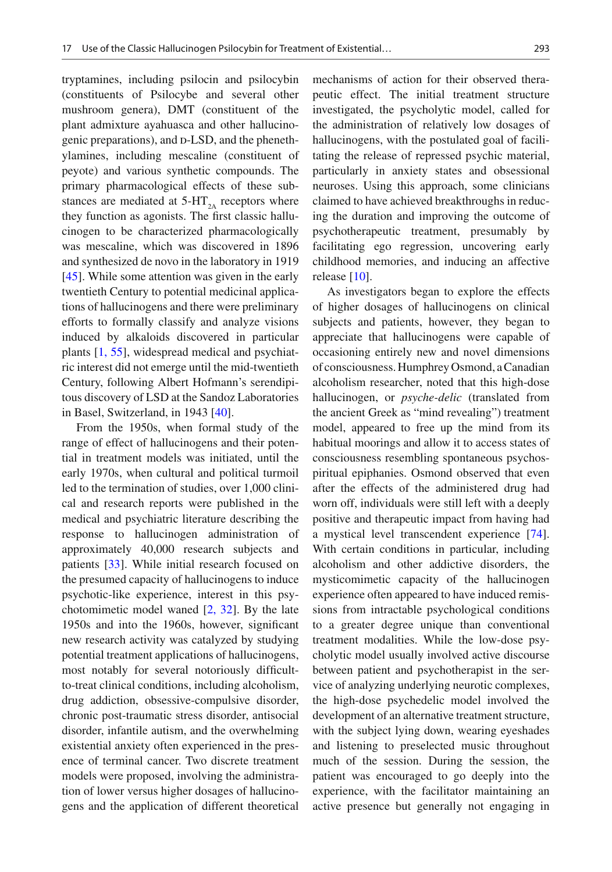tryptamines, including psilocin and psilocybin (constituents of Psilocybe and several other mushroom genera), DMT (constituent of the plant admixture ayahuasca and other hallucinogenic preparations), and  $D$ -LSD, and the phenethylamines, including mescaline (constituent of peyote) and various synthetic compounds. The primary pharmacological effects of these substances are mediated at  $5-HT<sub>2A</sub>$  receptors where they function as agonists. The first classic hallucinogen to be characterized pharmacologically was mescaline, which was discovered in 1896 and synthesized de novo in the laboratory in 1919 [45]. While some attention was given in the early twentieth Century to potential medicinal applications of hallucinogens and there were preliminary efforts to formally classify and analyze visions induced by alkaloids discovered in particular plants  $[1, 55]$  $[1, 55]$  $[1, 55]$ , widespread medical and psychiatric interest did not emerge until the mid-twentieth Century, following Albert Hofmann's serendipitous discovery of LSD at the Sandoz Laboratories in Basel, Switzerland, in  $1943$   $[40]$ .

 From the 1950s, when formal study of the range of effect of hallucinogens and their potential in treatment models was initiated, until the early 1970s, when cultural and political turmoil led to the termination of studies, over 1,000 clinical and research reports were published in the medical and psychiatric literature describing the response to hallucinogen administration of approximately 40,000 research subjects and patients [33]. While initial research focused on the presumed capacity of hallucinogens to induce psychotic-like experience, interest in this psychotomimetic model waned  $[2, 32]$ . By the late 1950s and into the 1960s, however, significant new research activity was catalyzed by studying potential treatment applications of hallucinogens, most notably for several notoriously difficultto-treat clinical conditions, including alcoholism, drug addiction, obsessive-compulsive disorder, chronic post-traumatic stress disorder, antisocial disorder, infantile autism, and the overwhelming existential anxiety often experienced in the presence of terminal cancer. Two discrete treatment models were proposed, involving the administration of lower versus higher dosages of hallucinogens and the application of different theoretical

mechanisms of action for their observed therapeutic effect. The initial treatment structure investigated, the psycholytic model, called for the administration of relatively low dosages of hallucinogens, with the postulated goal of facilitating the release of repressed psychic material, particularly in anxiety states and obsessional neuroses. Using this approach, some clinicians claimed to have achieved breakthroughs in reducing the duration and improving the outcome of psychotherapeutic treatment, presumably by facilitating ego regression, uncovering early childhood memories, and inducing an affective release  $[10]$ .

 As investigators began to explore the effects of higher dosages of hallucinogens on clinical subjects and patients, however, they began to appreciate that hallucinogens were capable of occasioning entirely new and novel dimensions of consciousness. Humphrey Osmond, a Canadian alcoholism researcher, noted that this high-dose hallucinogen, or *psyche-delic* (translated from the ancient Greek as "mind revealing") treatment model, appeared to free up the mind from its habitual moorings and allow it to access states of consciousness resembling spontaneous psychospiritual epiphanies. Osmond observed that even after the effects of the administered drug had worn off, individuals were still left with a deeply positive and therapeutic impact from having had a mystical level transcendent experience [74]. With certain conditions in particular, including alcoholism and other addictive disorders, the mysticomimetic capacity of the hallucinogen experience often appeared to have induced remissions from intractable psychological conditions to a greater degree unique than conventional treatment modalities. While the low-dose psycholytic model usually involved active discourse between patient and psychotherapist in the service of analyzing underlying neurotic complexes, the high-dose psychedelic model involved the development of an alternative treatment structure, with the subject lying down, wearing eyeshades and listening to preselected music throughout much of the session. During the session, the patient was encouraged to go deeply into the experience, with the facilitator maintaining an active presence but generally not engaging in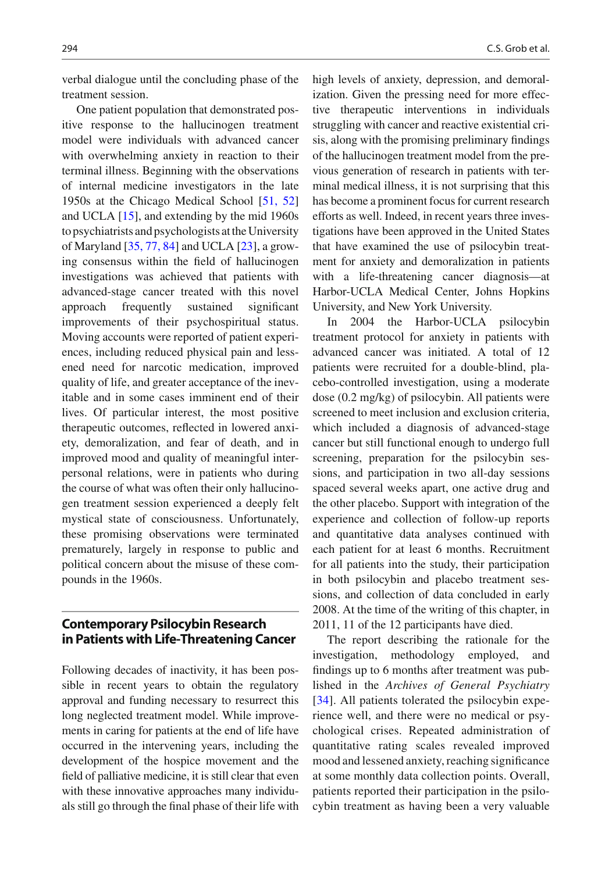verbal dialogue until the concluding phase of the treatment session.

 One patient population that demonstrated positive response to the hallucinogen treatment model were individuals with advanced cancer with overwhelming anxiety in reaction to their terminal illness. Beginning with the observations of internal medicine investigators in the late 1950s at the Chicago Medical School [51, [52](#page-15-10)] and UCLA  $[15]$ , and extending by the mid 1960s to psychiatrists and psychologists at the University of Maryland  $[35, 77, 84]$  $[35, 77, 84]$  $[35, 77, 84]$  $[35, 77, 84]$  and UCLA  $[23]$ , a growing consensus within the field of hallucinogen investigations was achieved that patients with advanced-stage cancer treated with this novel approach frequently sustained significant improvements of their psychospiritual status. Moving accounts were reported of patient experiences, including reduced physical pain and lessened need for narcotic medication, improved quality of life, and greater acceptance of the inevitable and in some cases imminent end of their lives. Of particular interest, the most positive therapeutic outcomes, reflected in lowered anxiety, demoralization, and fear of death, and in improved mood and quality of meaningful interpersonal relations, were in patients who during the course of what was often their only hallucinogen treatment session experienced a deeply felt mystical state of consciousness. Unfortunately, these promising observations were terminated prematurely, largely in response to public and political concern about the misuse of these compounds in the 1960s.

## **Contemporary Psilocybin Research in Patients with Life-Threatening Cancer**

 Following decades of inactivity, it has been possible in recent years to obtain the regulatory approval and funding necessary to resurrect this long neglected treatment model. While improvements in caring for patients at the end of life have occurred in the intervening years, including the development of the hospice movement and the field of palliative medicine, it is still clear that even with these innovative approaches many individuals still go through the final phase of their life with high levels of anxiety, depression, and demoralization. Given the pressing need for more effective therapeutic interventions in individuals struggling with cancer and reactive existential crisis, along with the promising preliminary findings of the hallucinogen treatment model from the previous generation of research in patients with terminal medical illness, it is not surprising that this has become a prominent focus for current research efforts as well. Indeed, in recent years three investigations have been approved in the United States that have examined the use of psilocybin treatment for anxiety and demoralization in patients with a life-threatening cancer diagnosis—at Harbor-UCLA Medical Center, Johns Hopkins University, and New York University.

 In 2004 the Harbor-UCLA psilocybin treatment protocol for anxiety in patients with advanced cancer was initiated. A total of 12 patients were recruited for a double-blind, placebo-controlled investigation, using a moderate dose (0.2 mg/kg) of psilocybin. All patients were screened to meet inclusion and exclusion criteria, which included a diagnosis of advanced-stage cancer but still functional enough to undergo full screening, preparation for the psilocybin sessions, and participation in two all-day sessions spaced several weeks apart, one active drug and the other placebo. Support with integration of the experience and collection of follow-up reports and quantitative data analyses continued with each patient for at least 6 months. Recruitment for all patients into the study, their participation in both psilocybin and placebo treatment sessions, and collection of data concluded in early 2008. At the time of the writing of this chapter, in 2011, 11 of the 12 participants have died.

 The report describing the rationale for the investigation, methodology employed, and findings up to 6 months after treatment was published in the *Archives of General Psychiatry* [34]. All patients tolerated the psilocybin experience well, and there were no medical or psychological crises. Repeated administration of quantitative rating scales revealed improved mood and lessened anxiety, reaching significance at some monthly data collection points. Overall, patients reported their participation in the psilocybin treatment as having been a very valuable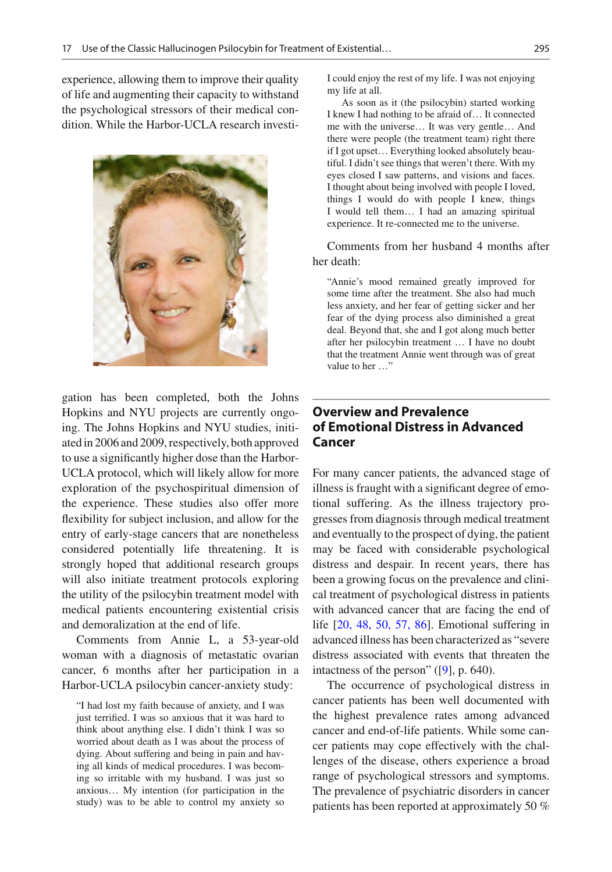experience, allowing them to improve their quality of life and augmenting their capacity to withstand the psychological stressors of their medical condition. While the Harbor-UCLA research investi-



gation has been completed, both the Johns Hopkins and NYU projects are currently ongoing. The Johns Hopkins and NYU studies, initiated in 2006 and 2009, respectively, both approved to use a significantly higher dose than the Harbor-UCLA protocol, which will likely allow for more exploration of the psychospiritual dimension of the experience. These studies also offer more flexibility for subject inclusion, and allow for the entry of early-stage cancers that are nonetheless considered potentially life threatening. It is strongly hoped that additional research groups will also initiate treatment protocols exploring the utility of the psilocybin treatment model with medical patients encountering existential crisis and demoralization at the end of life.

 Comments from Annie L, a 53-year-old woman with a diagnosis of metastatic ovarian cancer, 6 months after her participation in a Harbor-UCLA psilocybin cancer-anxiety study:

 "I had lost my faith because of anxiety, and I was just terrified. I was so anxious that it was hard to think about anything else. I didn't think I was so worried about death as I was about the process of dying. About suffering and being in pain and having all kinds of medical procedures. I was becoming so irritable with my husband. I was just so anxious… My intention (for participation in the study) was to be able to control my anxiety so I could enjoy the rest of my life. I was not enjoying my life at all.

 As soon as it (the psilocybin) started working I knew I had nothing to be afraid of… It connected me with the universe… It was very gentle… And there were people (the treatment team) right there if I got upset… Everything looked absolutely beautiful. I didn't see things that weren't there. With my eyes closed I saw patterns, and visions and faces. I thought about being involved with people I loved, things I would do with people I knew, things I would tell them… I had an amazing spiritual experience. It re-connected me to the universe.

 Comments from her husband 4 months after her death:

 "Annie's mood remained greatly improved for some time after the treatment. She also had much less anxiety, and her fear of getting sicker and her fear of the dying process also diminished a great deal. Beyond that, she and I got along much better after her psilocybin treatment … I have no doubt that the treatment Annie went through was of great value to her …"

# **Overview and Prevalence of Emotional Distress in Advanced Cancer**

 For many cancer patients, the advanced stage of illness is fraught with a significant degree of emotional suffering. As the illness trajectory progresses from diagnosis through medical treatment and eventually to the prospect of dying, the patient may be faced with considerable psychological distress and despair. In recent years, there has been a growing focus on the prevalence and clinical treatment of psychological distress in patients with advanced cancer that are facing the end of life  $[20, 48, 50, 57, 86]$  $[20, 48, 50, 57, 86]$  $[20, 48, 50, 57, 86]$  $[20, 48, 50, 57, 86]$  $[20, 48, 50, 57, 86]$  $[20, 48, 50, 57, 86]$ . Emotional suffering in advanced illness has been characterized as "severe distress associated with events that threaten the intactness of the person"  $([9]$ , p. 640).

 The occurrence of psychological distress in cancer patients has been well documented with the highest prevalence rates among advanced cancer and end-of-life patients. While some cancer patients may cope effectively with the challenges of the disease, others experience a broad range of psychological stressors and symptoms. The prevalence of psychiatric disorders in cancer patients has been reported at approximately 50 %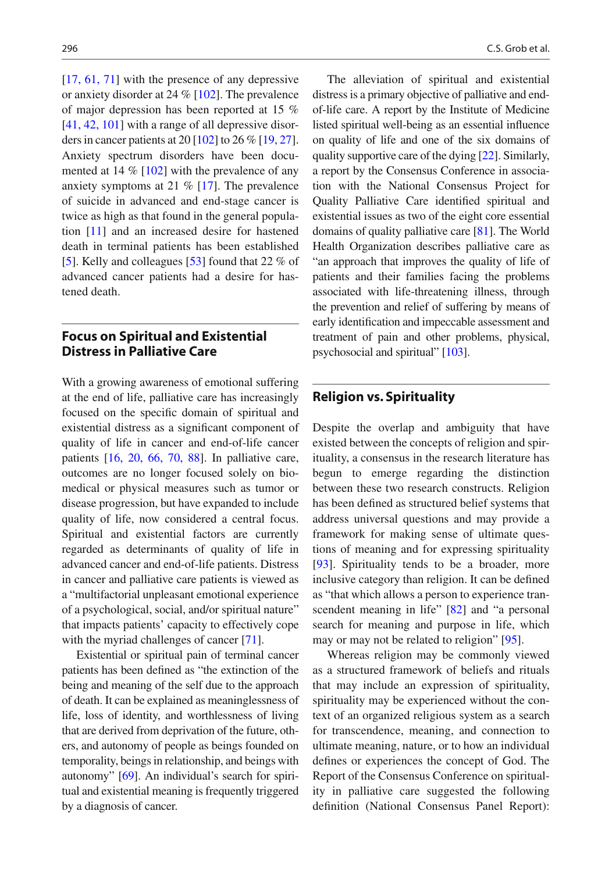$[17, 61, 71]$  $[17, 61, 71]$  $[17, 61, 71]$  $[17, 61, 71]$  with the presence of any depressive or anxiety disorder at 24  $%$  [102]. The prevalence of major depression has been reported at 15 %  $[41, 42, 101]$  $[41, 42, 101]$  $[41, 42, 101]$  $[41, 42, 101]$  with a range of all depressive disorders in cancer patients at 20  $[102]$  to 26 %  $[19, 27]$ . Anxiety spectrum disorders have been documented at  $14\%$  [102] with the prevalence of any anxiety symptoms at 21  $%$  [17]. The prevalence of suicide in advanced and end-stage cancer is twice as high as that found in the general population  $[11]$  and an increased desire for hastened death in terminal patients has been established [5]. Kelly and colleagues  $[53]$  found that 22 % of advanced cancer patients had a desire for hastened death.

## **Focus on Spiritual and Existential Distress in Palliative Care**

 With a growing awareness of emotional suffering at the end of life, palliative care has increasingly focused on the specific domain of spiritual and existential distress as a significant component of quality of life in cancer and end-of-life cancer patients  $[16, 20, 66, 70, 88]$  $[16, 20, 66, 70, 88]$  $[16, 20, 66, 70, 88]$  $[16, 20, 66, 70, 88]$  $[16, 20, 66, 70, 88]$ . In palliative care, outcomes are no longer focused solely on biomedical or physical measures such as tumor or disease progression, but have expanded to include quality of life, now considered a central focus. Spiritual and existential factors are currently regarded as determinants of quality of life in advanced cancer and end-of-life patients. Distress in cancer and palliative care patients is viewed as a "multifactorial unpleasant emotional experience of a psychological, social, and/or spiritual nature" that impacts patients' capacity to effectively cope with the myriad challenges of cancer [71].

 Existential or spiritual pain of terminal cancer patients has been defined as "the extinction of the being and meaning of the self due to the approach of death. It can be explained as meaninglessness of life, loss of identity, and worthlessness of living that are derived from deprivation of the future, others, and autonomy of people as beings founded on temporality, beings in relationship, and beings with autonomy"  $[69]$ . An individual's search for spiritual and existential meaning is frequently triggered by a diagnosis of cancer.

 The alleviation of spiritual and existential distress is a primary objective of palliative and endof-life care. A report by the Institute of Medicine listed spiritual well-being as an essential influence on quality of life and one of the six domains of quality supportive care of the dying  $[22]$ . Similarly, a report by the Consensus Conference in association with the National Consensus Project for Quality Palliative Care identified spiritual and existential issues as two of the eight core essential domains of quality palliative care  $[81]$ . The World Health Organization describes palliative care as "an approach that improves the quality of life of patients and their families facing the problems associated with life-threatening illness, through the prevention and relief of suffering by means of early identification and impeccable assessment and treatment of pain and other problems, physical, psychosocial and spiritual" [103].

#### **Religion vs. Spirituality**

 Despite the overlap and ambiguity that have existed between the concepts of religion and spirituality, a consensus in the research literature has begun to emerge regarding the distinction between these two research constructs. Religion has been defined as structured belief systems that address universal questions and may provide a framework for making sense of ultimate questions of meaning and for expressing spirituality [93]. Spirituality tends to be a broader, more inclusive category than religion. It can be defined as "that which allows a person to experience transcendent meaning in life" [82] and "a personal search for meaning and purpose in life, which may or may not be related to religion" [95].

 Whereas religion may be commonly viewed as a structured framework of beliefs and rituals that may include an expression of spirituality, spirituality may be experienced without the context of an organized religious system as a search for transcendence, meaning, and connection to ultimate meaning, nature, or to how an individual defines or experiences the concept of God. The Report of the Consensus Conference on spirituality in palliative care suggested the following definition (National Consensus Panel Report):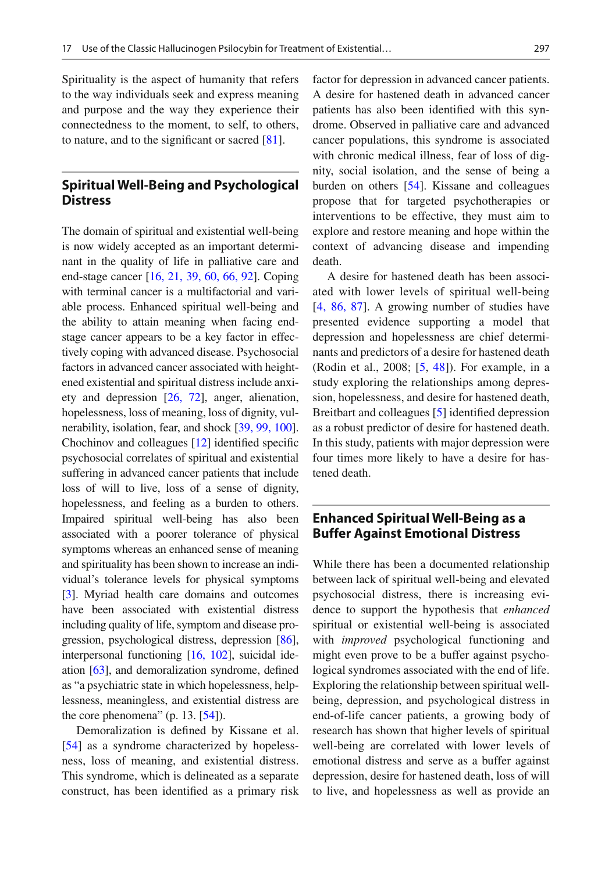Spirituality is the aspect of humanity that refers to the way individuals seek and express meaning and purpose and the way they experience their connectedness to the moment, to self, to others, to nature, and to the significant or sacred  $[81]$ .

#### **Spiritual Well-Being and Psychological Distress**

 The domain of spiritual and existential well-being is now widely accepted as an important determinant in the quality of life in palliative care and end-stage cancer [16, [21,](#page-15-21) [39,](#page-15-22) [60,](#page-16-20) [66,](#page-16-14) 92]. Coping with terminal cancer is a multifactorial and variable process. Enhanced spiritual well-being and the ability to attain meaning when facing endstage cancer appears to be a key factor in effectively coping with advanced disease. Psychosocial factors in advanced cancer associated with heightened existential and spiritual distress include anxiety and depression  $[26, 72]$  $[26, 72]$  $[26, 72]$ , anger, alienation, hopelessness, loss of meaning, loss of dignity, vul-nerability, isolation, fear, and shock [39, [99,](#page-17-10) 100]. Chochinov and colleagues  $[12]$  identified specific psychosocial correlates of spiritual and existential suffering in advanced cancer patients that include loss of will to live, loss of a sense of dignity, hopelessness, and feeling as a burden to others. Impaired spiritual well-being has also been associated with a poorer tolerance of physical symptoms whereas an enhanced sense of meaning and spirituality has been shown to increase an individual's tolerance levels for physical symptoms [3]. Myriad health care domains and outcomes have been associated with existential distress including quality of life, symptom and disease progression, psychological distress, depression [86], interpersonal functioning  $[16, 102]$ , suicidal ideation  $[63]$ , and demoralization syndrome, defined as "a psychiatric state in which hopelessness, helplessness, meaningless, and existential distress are the core phenomena"  $(p. 13. [54])$ .

Demoralization is defined by Kissane et al. [54] as a syndrome characterized by hopelessness, loss of meaning, and existential distress. This syndrome, which is delineated as a separate construct, has been identified as a primary risk

factor for depression in advanced cancer patients. A desire for hastened death in advanced cancer patients has also been identified with this syndrome. Observed in palliative care and advanced cancer populations, this syndrome is associated with chronic medical illness, fear of loss of dignity, social isolation, and the sense of being a burden on others  $[54]$ . Kissane and colleagues propose that for targeted psychotherapies or interventions to be effective, they must aim to explore and restore meaning and hope within the context of advancing disease and impending death.

 A desire for hastened death has been associated with lower levels of spiritual well-being  $[4, 86, 87]$  $[4, 86, 87]$  $[4, 86, 87]$  $[4, 86, 87]$ . A growing number of studies have presented evidence supporting a model that depression and hopelessness are chief determinants and predictors of a desire for hastened death ( Rodin et al.,  $2008$ ;  $[5, 48]$  $[5, 48]$  $[5, 48]$ ). For example, in a study exploring the relationships among depression, hopelessness, and desire for hastened death, Breitbart and colleagues  $[5]$  identified depression as a robust predictor of desire for hastened death. In this study, patients with major depression were four times more likely to have a desire for hastened death.

## **Enhanced Spiritual Well-Being as a Buffer Against Emotional Distress**

 While there has been a documented relationship between lack of spiritual well-being and elevated psychosocial distress, there is increasing evidence to support the hypothesis that *enhanced* spiritual or existential well-being is associated with *improved* psychological functioning and might even prove to be a buffer against psychological syndromes associated with the end of life. Exploring the relationship between spiritual wellbeing, depression, and psychological distress in end-of-life cancer patients, a growing body of research has shown that higher levels of spiritual well-being are correlated with lower levels of emotional distress and serve as a buffer against depression, desire for hastened death, loss of will to live, and hopelessness as well as provide an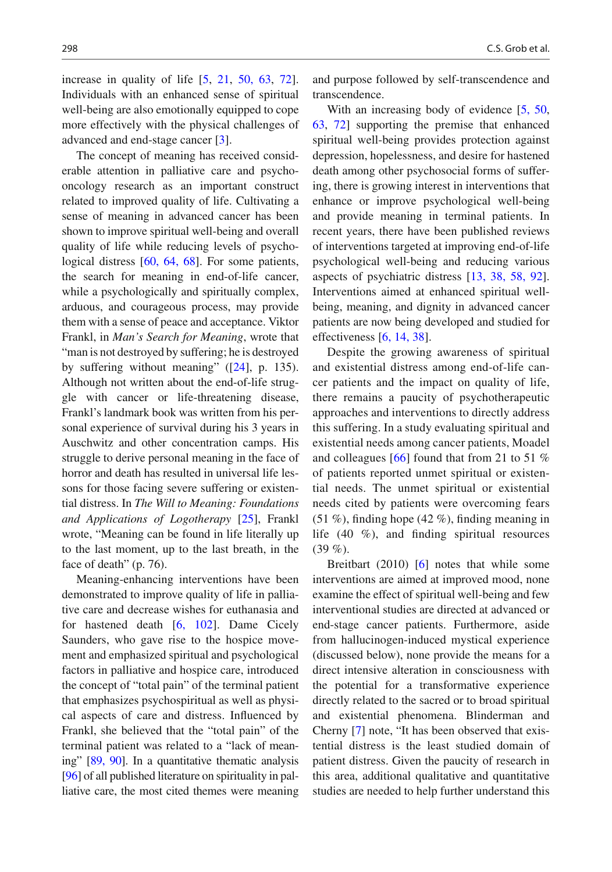increase in quality of life  $[5, 21, 50, 63, 72]$  $[5, 21, 50, 63, 72]$  $[5, 21, 50, 63, 72]$  $[5, 21, 50, 63, 72]$  $[5, 21, 50, 63, 72]$ . Individuals with an enhanced sense of spiritual well-being are also emotionally equipped to cope more effectively with the physical challenges of advanced and end-stage cancer [3].

 The concept of meaning has received considerable attention in palliative care and psychooncology research as an important construct related to improved quality of life. Cultivating a sense of meaning in advanced cancer has been shown to improve spiritual well-being and overall quality of life while reducing levels of psychological distress  $[60, 64, 68]$  $[60, 64, 68]$  $[60, 64, 68]$  $[60, 64, 68]$ . For some patients, the search for meaning in end-of-life cancer, while a psychologically and spiritually complex, arduous, and courageous process, may provide them with a sense of peace and acceptance. Viktor Frankl, in *Man's Search for Meaning*, wrote that "man is not destroyed by suffering; he is destroyed by suffering without meaning"  $([24], p. 135)$ . Although not written about the end-of-life struggle with cancer or life-threatening disease, Frankl's landmark book was written from his personal experience of survival during his 3 years in Auschwitz and other concentration camps. His struggle to derive personal meaning in the face of horror and death has resulted in universal life lessons for those facing severe suffering or existential distress. In *The Will to Meaning: Foundations and Applications of Logotherapy* [25], Frankl wrote, "Meaning can be found in life literally up to the last moment, up to the last breath, in the face of death" (p. 76).

 Meaning-enhancing interventions have been demonstrated to improve quality of life in palliative care and decrease wishes for euthanasia and for hastened death  $[6, 102]$ . Dame Cicely Saunders, who gave rise to the hospice movement and emphasized spiritual and psychological factors in palliative and hospice care, introduced the concept of "total pain" of the terminal patient that emphasizes psychospiritual as well as physical aspects of care and distress. Influenced by Frankl, she believed that the "total pain" of the terminal patient was related to a "lack of mean-ing" [89, [90](#page-17-13)]. In a quantitative thematic analysis [96] of all published literature on spirituality in palliative care, the most cited themes were meaning and purpose followed by self-transcendence and transcendence.

With an increasing body of evidence  $[5, 50, 50]$  $[5, 50, 50]$  $[5, 50, 50]$ 63, 72] supporting the premise that enhanced spiritual well-being provides protection against depression, hopelessness, and desire for hastened death among other psychosocial forms of suffering, there is growing interest in interventions that enhance or improve psychological well-being and provide meaning in terminal patients. In recent years, there have been published reviews of interventions targeted at improving end-of-life psychological well-being and reducing various aspects of psychiatric distress  $[13, 38, 58, 92]$  $[13, 38, 58, 92]$  $[13, 38, 58, 92]$  $[13, 38, 58, 92]$ . Interventions aimed at enhanced spiritual wellbeing, meaning, and dignity in advanced cancer patients are now being developed and studied for effectiveness  $[6, 14, 38]$  $[6, 14, 38]$  $[6, 14, 38]$  $[6, 14, 38]$ .

 Despite the growing awareness of spiritual and existential distress among end-of-life cancer patients and the impact on quality of life, there remains a paucity of psychotherapeutic approaches and interventions to directly address this suffering. In a study evaluating spiritual and existential needs among cancer patients, Moadel and colleagues  $[66]$  found that from 21 to 51 % of patients reported unmet spiritual or existential needs. The unmet spiritual or existential needs cited by patients were overcoming fears  $(51 \%)$ , finding hope  $(42 \%)$ , finding meaning in life  $(40 \%)$ , and finding spiritual resources  $(39\%).$ 

Breitbart (2010)  $[6]$  notes that while some interventions are aimed at improved mood, none examine the effect of spiritual well-being and few interventional studies are directed at advanced or end-stage cancer patients. Furthermore, aside from hallucinogen-induced mystical experience (discussed below), none provide the means for a direct intensive alteration in consciousness with the potential for a transformative experience directly related to the sacred or to broad spiritual and existential phenomena. Blinderman and Cherny [7] note, "It has been observed that existential distress is the least studied domain of patient distress. Given the paucity of research in this area, additional qualitative and quantitative studies are needed to help further understand this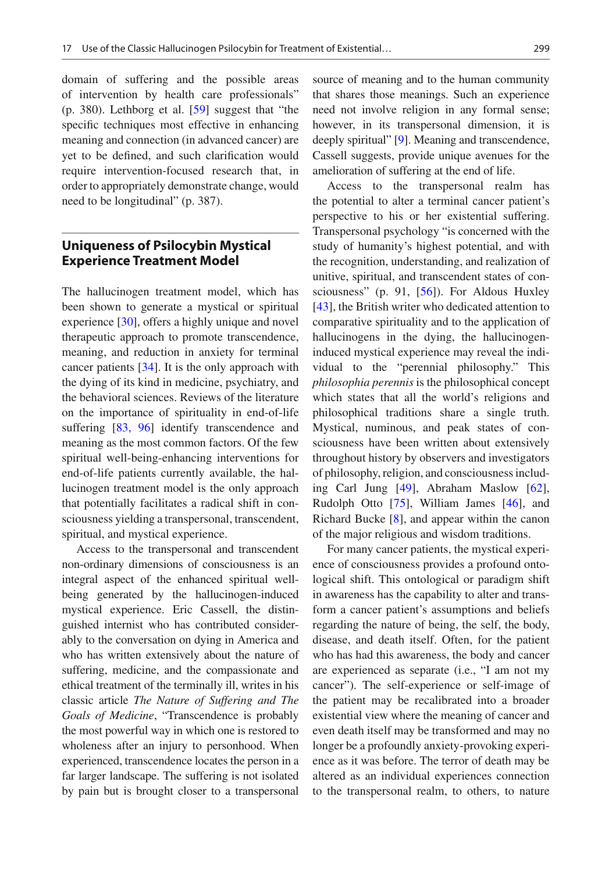domain of suffering and the possible areas of intervention by health care professionals" (p. 380). Lethborg et al.  $[59]$  suggest that "the specific techniques most effective in enhancing meaning and connection (in advanced cancer) are yet to be defined, and such clarification would require intervention-focused research that, in order to appropriately demonstrate change, would need to be longitudinal" (p. 387).

# **Uniqueness of Psilocybin Mystical Experience Treatment Model**

 The hallucinogen treatment model, which has been shown to generate a mystical or spiritual experience  $[30]$ , offers a highly unique and novel therapeutic approach to promote transcendence, meaning, and reduction in anxiety for terminal cancer patients  $[34]$ . It is the only approach with the dying of its kind in medicine, psychiatry, and the behavioral sciences. Reviews of the literature on the importance of spirituality in end-of-life suffering  $[83, 96]$  $[83, 96]$  $[83, 96]$  identify transcendence and meaning as the most common factors. Of the few spiritual well-being-enhancing interventions for end-of-life patients currently available, the hallucinogen treatment model is the only approach that potentially facilitates a radical shift in consciousness yielding a transpersonal, transcendent, spiritual, and mystical experience.

 Access to the transpersonal and transcendent non-ordinary dimensions of consciousness is an integral aspect of the enhanced spiritual wellbeing generated by the hallucinogen-induced mystical experience. Eric Cassell, the distinguished internist who has contributed considerably to the conversation on dying in America and who has written extensively about the nature of suffering, medicine, and the compassionate and ethical treatment of the terminally ill, writes in his classic article *The Nature of Suffering and The Goals of Medicine* , "Transcendence is probably the most powerful way in which one is restored to wholeness after an injury to personhood. When experienced, transcendence locates the person in a far larger landscape. The suffering is not isolated by pain but is brought closer to a transpersonal

source of meaning and to the human community that shares those meanings. Such an experience need not involve religion in any formal sense; however, in its transpersonal dimension, it is deeply spiritual" [9]. Meaning and transcendence, Cassell suggests, provide unique avenues for the amelioration of suffering at the end of life.

 Access to the transpersonal realm has the potential to alter a terminal cancer patient's perspective to his or her existential suffering. Transpersonal psychology "is concerned with the study of humanity's highest potential, and with the recognition, understanding, and realization of unitive, spiritual, and transcendent states of consciousness" (p. 91,  $[56]$ ). For Aldous Huxley [43], the British writer who dedicated attention to comparative spirituality and to the application of hallucinogens in the dying, the hallucinogeninduced mystical experience may reveal the individual to the "perennial philosophy." This *philosophia perennis* is the philosophical concept which states that all the world's religions and philosophical traditions share a single truth. Mystical, numinous, and peak states of consciousness have been written about extensively throughout history by observers and investigators of philosophy, religion, and consciousness including Carl Jung  $[49]$ , Abraham Maslow  $[62]$ , Rudolph Otto [75], William James [46], and Richard Bucke  $[8]$ , and appear within the canon of the major religious and wisdom traditions.

 For many cancer patients, the mystical experience of consciousness provides a profound ontological shift. This ontological or paradigm shift in awareness has the capability to alter and transform a cancer patient's assumptions and beliefs regarding the nature of being, the self, the body, disease, and death itself. Often, for the patient who has had this awareness, the body and cancer are experienced as separate (i.e., "I am not my cancer"). The self-experience or self-image of the patient may be recalibrated into a broader existential view where the meaning of cancer and even death itself may be transformed and may no longer be a profoundly anxiety-provoking experience as it was before. The terror of death may be altered as an individual experiences connection to the transpersonal realm, to others, to nature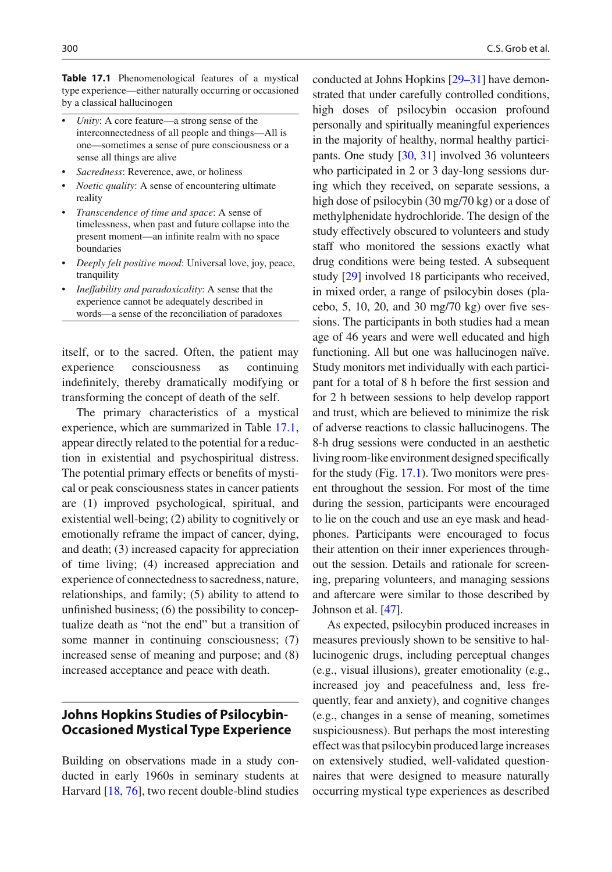<span id="page-9-0"></span> **Table 17.1** Phenomenological features of a mystical type experience—either naturally occurring or occasioned by a classical hallucinogen

- Unity: A core feature—a strong sense of the interconnectedness of all people and things—All is one—sometimes a sense of pure consciousness or a sense all things are alive
- *Sacredness* : Reverence, awe, or holiness
- *Noetic quality:* A sense of encountering ultimate reality
- *Transcendence of time and space* : A sense of timelessness, when past and future collapse into the present moment—an infinite realm with no space boundaries
- *Deeply felt positive mood*: Universal love, joy, peace, tranquility
- *Ineffability and paradoxicality* : A sense that the experience cannot be adequately described in words—a sense of the reconciliation of paradoxes

itself, or to the sacred. Often, the patient may experience consciousness as continuing indefinitely, thereby dramatically modifying or transforming the concept of death of the self.

 The primary characteristics of a mystical experience, which are summarized in Table [17.1](#page-9-0), appear directly related to the potential for a reduction in existential and psychospiritual distress. The potential primary effects or benefits of mystical or peak consciousness states in cancer patients are (1) improved psychological, spiritual, and existential well-being; (2) ability to cognitively or emotionally reframe the impact of cancer, dying, and death; (3) increased capacity for appreciation of time living; (4) increased appreciation and experience of connectedness to sacredness, nature, relationships, and family; (5) ability to attend to unfinished business;  $(6)$  the possibility to conceptualize death as "not the end" but a transition of some manner in continuing consciousness; (7) increased sense of meaning and purpose; and (8) increased acceptance and peace with death.

# **Johns Hopkins Studies of Psilocybin-Occasioned Mystical Type Experience**

 Building on observations made in a study conducted in early 1960s in seminary students at Harvard  $[18, 76]$ , two recent double-blind studies conducted at Johns Hopkins [29–31] have demonstrated that under carefully controlled conditions, high doses of psilocybin occasion profound personally and spiritually meaningful experiences in the majority of healthy, normal healthy participants. One study  $[30, 31]$  involved 36 volunteers who participated in 2 or 3 day-long sessions during which they received, on separate sessions, a high dose of psilocybin (30 mg/70 kg) or a dose of methylphenidate hydrochloride. The design of the study effectively obscured to volunteers and study staff who monitored the sessions exactly what drug conditions were being tested. A subsequent study [29] involved 18 participants who received, in mixed order, a range of psilocybin doses (placebo, 5, 10, 20, and 30 mg/70 kg) over five sessions. The participants in both studies had a mean age of 46 years and were well educated and high functioning. All but one was hallucinogen naïve. Study monitors met individually with each participant for a total of 8 h before the first session and for 2 h between sessions to help develop rapport and trust, which are believed to minimize the risk of adverse reactions to classic hallucinogens. The 8-h drug sessions were conducted in an aesthetic living room-like environment designed specifically for the study (Fig. 17.1). Two monitors were present throughout the session. For most of the time during the session, participants were encouraged to lie on the couch and use an eye mask and headphones. Participants were encouraged to focus their attention on their inner experiences throughout the session. Details and rationale for screening, preparing volunteers, and managing sessions and aftercare were similar to those described by Johnson et al.  $[47]$ .

 As expected, psilocybin produced increases in measures previously shown to be sensitive to hallucinogenic drugs, including perceptual changes (e.g., visual illusions), greater emotionality (e.g., increased joy and peacefulness and, less frequently, fear and anxiety), and cognitive changes (e.g., changes in a sense of meaning, sometimes suspiciousness). But perhaps the most interesting effect was that psilocybin produced large increases on extensively studied, well-validated questionnaires that were designed to measure naturally occurring mystical type experiences as described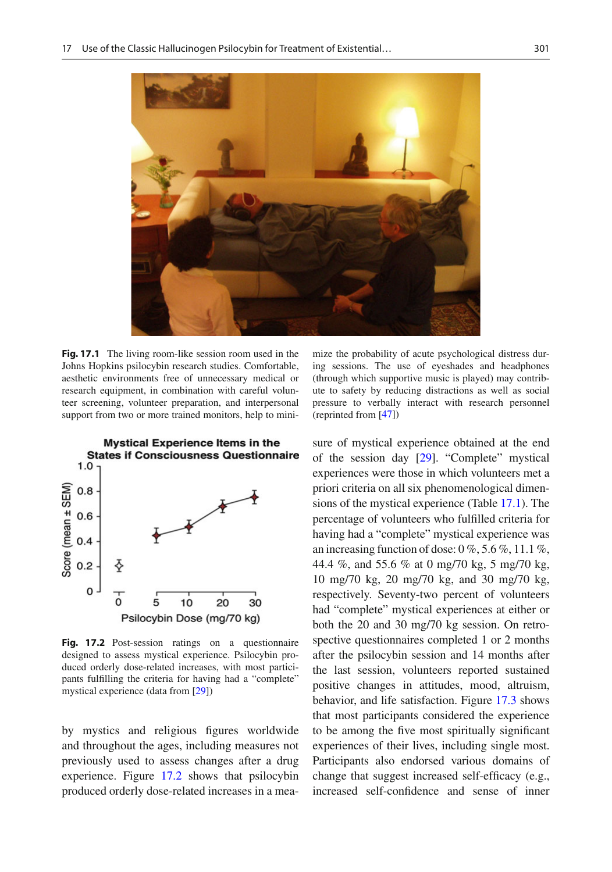<span id="page-10-0"></span>

**Fig. 17.1** The living room-like session room used in the Johns Hopkins psilocybin research studies. Comfortable, aesthetic environments free of unnecessary medical or research equipment, in combination with careful volunteer screening, volunteer preparation, and interpersonal support from two or more trained monitors, help to mini-

<span id="page-10-1"></span>

 **Fig. 17.2** Post-session ratings on a questionnaire designed to assess mystical experience. Psilocybin produced orderly dose-related increases, with most participants fulfilling the criteria for having had a "complete" mystical experience (data from [29])

by mystics and religious figures worldwide and throughout the ages, including measures not previously used to assess changes after a drug experience. Figure [17.2](#page-10-1) shows that psilocybin produced orderly dose-related increases in a mea-

mize the probability of acute psychological distress during sessions. The use of eyeshades and headphones (through which supportive music is played) may contribute to safety by reducing distractions as well as social pressure to verbally interact with research personnel (reprinted from  $[47]$ )

sure of mystical experience obtained at the end of the session day [29]. "Complete" mystical experiences were those in which volunteers met a priori criteria on all six phenomenological dimensions of the mystical experience (Table [17.1](#page-9-0) ). The percentage of volunteers who fulfilled criteria for having had a "complete" mystical experience was an increasing function of dose:  $0\%$ ,  $5.6\%$ ,  $11.1\%$ , 44.4 %, and 55.6 % at 0 mg/70 kg, 5 mg/70 kg, 10 mg/70 kg, 20 mg/70 kg, and 30 mg/70 kg, respectively. Seventy-two percent of volunteers had "complete" mystical experiences at either or both the 20 and 30 mg/70 kg session. On retrospective questionnaires completed 1 or 2 months after the psilocybin session and 14 months after the last session, volunteers reported sustained positive changes in attitudes, mood, altruism, behavior, and life satisfaction. Figure [17.3](#page-11-0) shows that most participants considered the experience to be among the five most spiritually significant experiences of their lives, including single most. Participants also endorsed various domains of change that suggest increased self-efficacy (e.g., increased self-confidence and sense of inner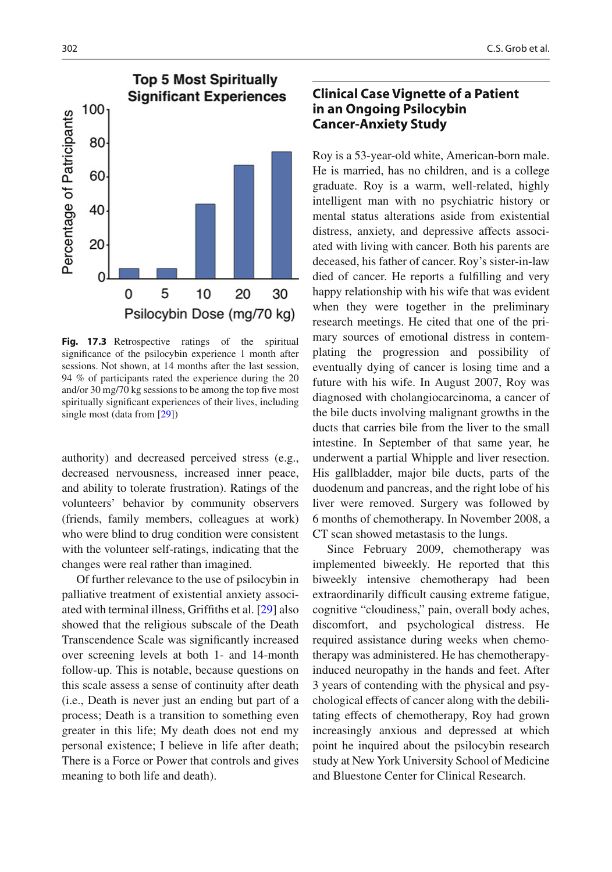<span id="page-11-0"></span>

 **Fig. 17.3** Retrospective ratings of the spiritual significance of the psilocybin experience 1 month after sessions. Not shown, at 14 months after the last session, 94 % of participants rated the experience during the 20 and/or 30 mg/70 kg sessions to be among the top five most spiritually significant experiences of their lives, including single most (data from [29])

authority) and decreased perceived stress (e.g., decreased nervousness, increased inner peace, and ability to tolerate frustration). Ratings of the volunteers' behavior by community observers (friends, family members, colleagues at work) who were blind to drug condition were consistent with the volunteer self-ratings, indicating that the changes were real rather than imagined.

 Of further relevance to the use of psilocybin in palliative treatment of existential anxiety associated with terminal illness, Griffiths et al. [29] also showed that the religious subscale of the Death Transcendence Scale was significantly increased over screening levels at both 1- and 14-month follow-up. This is notable, because questions on this scale assess a sense of continuity after death (i.e., Death is never just an ending but part of a process; Death is a transition to something even greater in this life; My death does not end my personal existence; I believe in life after death; There is a Force or Power that controls and gives meaning to both life and death).

# **Clinical Case Vignette of a Patient in an Ongoing Psilocybin Cancer-Anxiety Study**

 Roy is a 53-year-old white, American-born male. He is married, has no children, and is a college graduate. Roy is a warm, well-related, highly intelligent man with no psychiatric history or mental status alterations aside from existential distress, anxiety, and depressive affects associated with living with cancer. Both his parents are deceased, his father of cancer. Roy's sister-in-law died of cancer. He reports a fulfilling and very happy relationship with his wife that was evident when they were together in the preliminary research meetings. He cited that one of the primary sources of emotional distress in contemplating the progression and possibility of eventually dying of cancer is losing time and a future with his wife. In August 2007, Roy was diagnosed with cholangiocarcinoma, a cancer of the bile ducts involving malignant growths in the ducts that carries bile from the liver to the small intestine. In September of that same year, he underwent a partial Whipple and liver resection. His gallbladder, major bile ducts, parts of the duodenum and pancreas, and the right lobe of his liver were removed. Surgery was followed by 6 months of chemotherapy. In November 2008, a CT scan showed metastasis to the lungs.

 Since February 2009, chemotherapy was implemented biweekly. He reported that this biweekly intensive chemotherapy had been extraordinarily difficult causing extreme fatigue, cognitive "cloudiness," pain, overall body aches, discomfort, and psychological distress. He required assistance during weeks when chemotherapy was administered. He has chemotherapyinduced neuropathy in the hands and feet. After 3 years of contending with the physical and psychological effects of cancer along with the debilitating effects of chemotherapy, Roy had grown increasingly anxious and depressed at which point he inquired about the psilocybin research study at New York University School of Medicine and Bluestone Center for Clinical Research.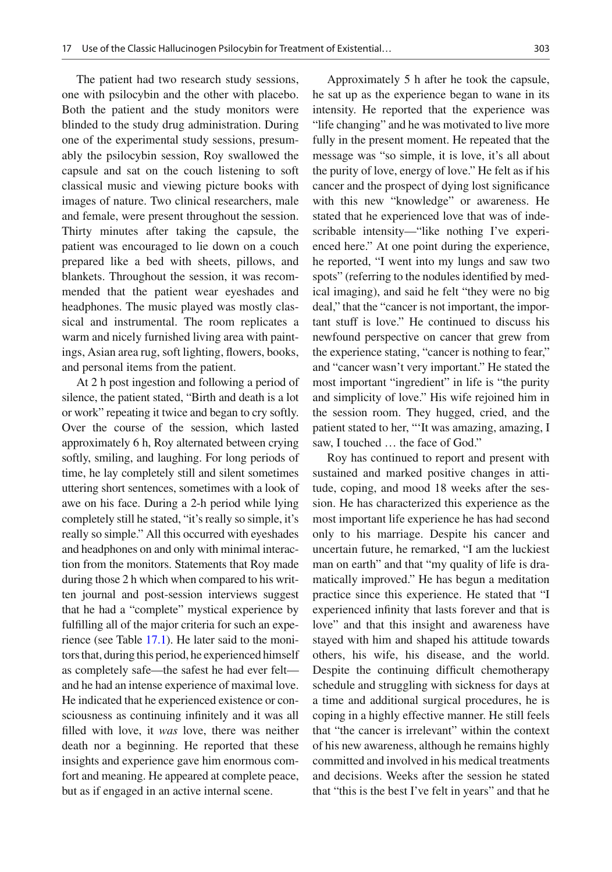The patient had two research study sessions, one with psilocybin and the other with placebo. Both the patient and the study monitors were blinded to the study drug administration. During one of the experimental study sessions, presumably the psilocybin session, Roy swallowed the capsule and sat on the couch listening to soft classical music and viewing picture books with images of nature. Two clinical researchers, male and female, were present throughout the session. Thirty minutes after taking the capsule, the patient was encouraged to lie down on a couch prepared like a bed with sheets, pillows, and blankets. Throughout the session, it was recommended that the patient wear eyeshades and headphones. The music played was mostly classical and instrumental. The room replicates a warm and nicely furnished living area with paintings, Asian area rug, soft lighting, flowers, books, and personal items from the patient.

 At 2 h post ingestion and following a period of silence, the patient stated, "Birth and death is a lot or work" repeating it twice and began to cry softly. Over the course of the session, which lasted approximately 6 h, Roy alternated between crying softly, smiling, and laughing. For long periods of time, he lay completely still and silent sometimes uttering short sentences, sometimes with a look of awe on his face. During a 2-h period while lying completely still he stated, "it's really so simple, it's really so simple." All this occurred with eyeshades and headphones on and only with minimal interaction from the monitors. Statements that Roy made during those 2 h which when compared to his written journal and post-session interviews suggest that he had a "complete" mystical experience by ful filling all of the major criteria for such an expe-rience (see Table [17.1](#page-9-0)). He later said to the monitors that, during this period, he experienced himself as completely safe—the safest he had ever felt and he had an intense experience of maximal love. He indicated that he experienced existence or consciousness as continuing infinitely and it was all filled with love, it *was* love, there was neither death nor a beginning. He reported that these insights and experience gave him enormous comfort and meaning. He appeared at complete peace, but as if engaged in an active internal scene.

 Approximately 5 h after he took the capsule, he sat up as the experience began to wane in its intensity. He reported that the experience was "life changing" and he was motivated to live more fully in the present moment. He repeated that the message was "so simple, it is love, it's all about the purity of love, energy of love." He felt as if his cancer and the prospect of dying lost significance with this new "knowledge" or awareness. He stated that he experienced love that was of indescribable intensity—"like nothing I've experienced here." At one point during the experience, he reported, "I went into my lungs and saw two spots" (referring to the nodules identified by medical imaging), and said he felt "they were no big deal," that the "cancer is not important, the important stuff is love." He continued to discuss his newfound perspective on cancer that grew from the experience stating, "cancer is nothing to fear," and "cancer wasn't very important." He stated the most important "ingredient" in life is "the purity and simplicity of love." His wife rejoined him in the session room. They hugged, cried, and the patient stated to her, "'It was amazing, amazing, I saw, I touched … the face of God."

 Roy has continued to report and present with sustained and marked positive changes in attitude, coping, and mood 18 weeks after the session. He has characterized this experience as the most important life experience he has had second only to his marriage. Despite his cancer and uncertain future, he remarked, "I am the luckiest man on earth" and that "my quality of life is dramatically improved." He has begun a meditation practice since this experience. He stated that "I experienced infinity that lasts forever and that is love" and that this insight and awareness have stayed with him and shaped his attitude towards others, his wife, his disease, and the world. Despite the continuing difficult chemotherapy schedule and struggling with sickness for days at a time and additional surgical procedures, he is coping in a highly effective manner. He still feels that "the cancer is irrelevant" within the context of his new awareness, although he remains highly committed and involved in his medical treatments and decisions. Weeks after the session he stated that "this is the best I've felt in years" and that he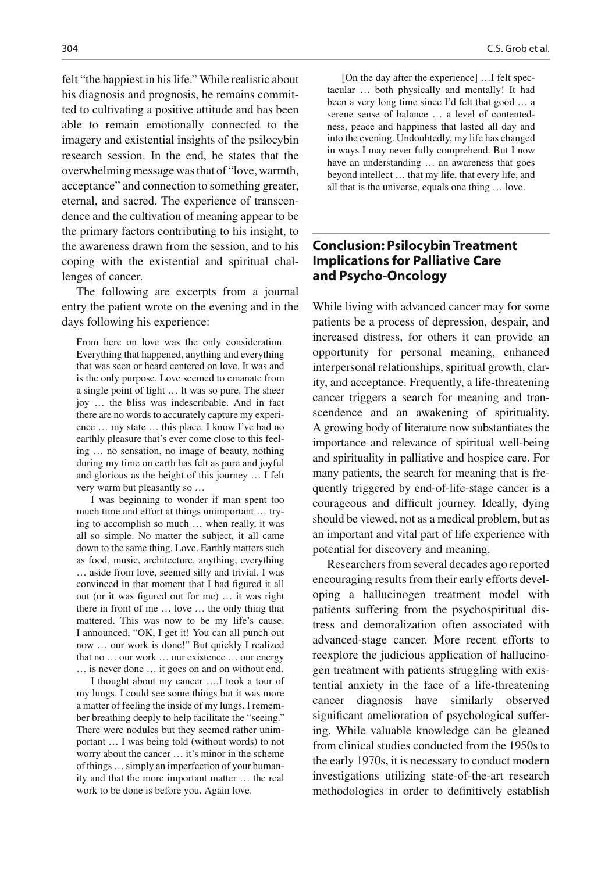felt "the happiest in his life." While realistic about his diagnosis and prognosis, he remains committed to cultivating a positive attitude and has been able to remain emotionally connected to the imagery and existential insights of the psilocybin research session. In the end, he states that the overwhelming message was that of "love, warmth, acceptance" and connection to something greater, eternal, and sacred. The experience of transcendence and the cultivation of meaning appear to be the primary factors contributing to his insight, to the awareness drawn from the session, and to his coping with the existential and spiritual challenges of cancer.

 The following are excerpts from a journal entry the patient wrote on the evening and in the days following his experience:

 From here on love was the only consideration. Everything that happened, anything and everything that was seen or heard centered on love. It was and is the only purpose. Love seemed to emanate from a single point of light … It was so pure. The sheer joy … the bliss was indescribable. And in fact there are no words to accurately capture my experience … my state … this place. I know I've had no earthly pleasure that's ever come close to this feeling … no sensation, no image of beauty, nothing during my time on earth has felt as pure and joyful and glorious as the height of this journey … I felt very warm but pleasantly so …

 I was beginning to wonder if man spent too much time and effort at things unimportant … trying to accomplish so much … when really, it was all so simple. No matter the subject, it all came down to the same thing. Love. Earthly matters such as food, music, architecture, anything, everything … aside from love, seemed silly and trivial. I was convinced in that moment that I had figured it all out (or it was figured out for me) ... it was right there in front of me … love … the only thing that mattered. This was now to be my life's cause. I announced, "OK, I get it! You can all punch out now … our work is done!" But quickly I realized that no … our work … our existence … our energy … is never done … it goes on and on without end.

 I thought about my cancer ….I took a tour of my lungs. I could see some things but it was more a matter of feeling the inside of my lungs. I remember breathing deeply to help facilitate the "seeing." There were nodules but they seemed rather unimportant … I was being told (without words) to not worry about the cancer … it's minor in the scheme of things … simply an imperfection of your humanity and that the more important matter … the real work to be done is before you. Again love.

 [On the day after the experience] …I felt spectacular … both physically and mentally! It had been a very long time since I'd felt that good … a serene sense of balance … a level of contentedness, peace and happiness that lasted all day and into the evening. Undoubtedly, my life has changed in ways I may never fully comprehend. But I now have an understanding … an awareness that goes beyond intellect … that my life, that every life, and all that is the universe, equals one thing … love.

# **Conclusion: Psilocybin Treatment Implications for Palliative Care and Psycho-Oncology**

 While living with advanced cancer may for some patients be a process of depression, despair, and increased distress, for others it can provide an opportunity for personal meaning, enhanced interpersonal relationships, spiritual growth, clarity, and acceptance. Frequently, a life-threatening cancer triggers a search for meaning and transcendence and an awakening of spirituality. A growing body of literature now substantiates the importance and relevance of spiritual well-being and spirituality in palliative and hospice care. For many patients, the search for meaning that is frequently triggered by end-of-life-stage cancer is a courageous and difficult journey. Ideally, dying should be viewed, not as a medical problem, but as an important and vital part of life experience with potential for discovery and meaning.

 Researchers from several decades ago reported encouraging results from their early efforts developing a hallucinogen treatment model with patients suffering from the psychospiritual distress and demoralization often associated with advanced-stage cancer. More recent efforts to reexplore the judicious application of hallucinogen treatment with patients struggling with existential anxiety in the face of a life-threatening cancer diagnosis have similarly observed significant amelioration of psychological suffering. While valuable knowledge can be gleaned from clinical studies conducted from the 1950s to the early 1970s, it is necessary to conduct modern investigations utilizing state-of-the-art research methodologies in order to definitively establish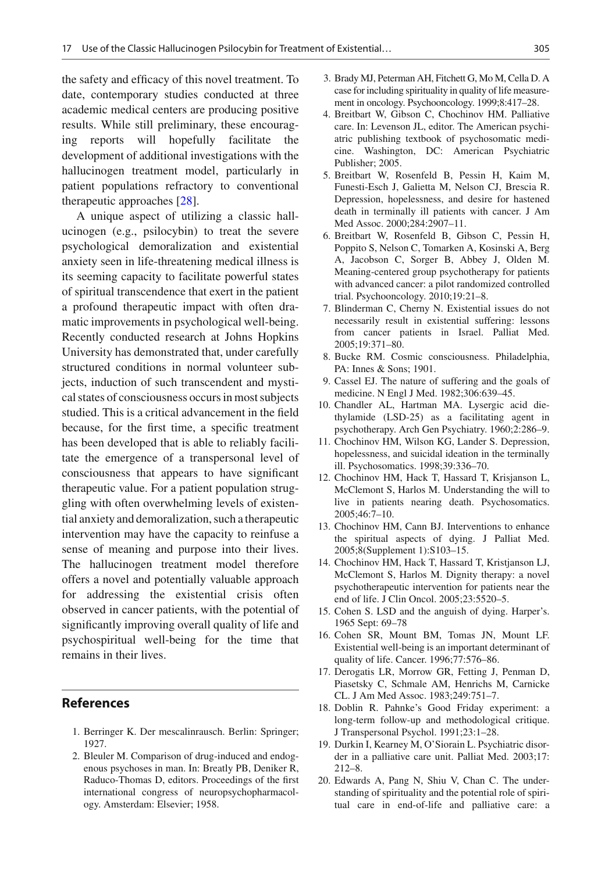the safety and efficacy of this novel treatment. To date, contemporary studies conducted at three academic medical centers are producing positive results. While still preliminary, these encouraging reports will hopefully facilitate the development of additional investigations with the hallucinogen treatment model, particularly in patient populations refractory to conventional therapeutic approaches  $[28]$ .

 A unique aspect of utilizing a classic hallucinogen (e.g., psilocybin) to treat the severe psychological demoralization and existential anxiety seen in life-threatening medical illness is its seeming capacity to facilitate powerful states of spiritual transcendence that exert in the patient a profound therapeutic impact with often dramatic improvements in psychological well-being. Recently conducted research at Johns Hopkins University has demonstrated that, under carefully structured conditions in normal volunteer subjects, induction of such transcendent and mystical states of consciousness occurs in most subjects studied. This is a critical advancement in the field because, for the first time, a specific treatment has been developed that is able to reliably facilitate the emergence of a transpersonal level of consciousness that appears to have significant therapeutic value. For a patient population struggling with often overwhelming levels of existential anxiety and demoralization, such a therapeutic intervention may have the capacity to reinfuse a sense of meaning and purpose into their lives. The hallucinogen treatment model therefore offers a novel and potentially valuable approach for addressing the existential crisis often observed in cancer patients, with the potential of significantly improving overall quality of life and psychospiritual well-being for the time that remains in their lives.

## **References**

- <span id="page-14-0"></span> 1. Berringer K. Der mescalinrausch. Berlin: Springer; 1927.
- <span id="page-14-1"></span> 2. Bleuler M. Comparison of drug-induced and endogenous psychoses in man. In: Breatly PB, Deniker R, Raduco-Thomas D, editors. Proceedings of the first international congress of neuropsychopharmacology. Amsterdam: Elsevier; 1958.
- <span id="page-14-11"></span> 3. Brady MJ, Peterman AH, Fitchett G, Mo M, Cella D. A case for including spirituality in quality of life measurement in oncology. Psychooncology. 1999;8:417–28.
- <span id="page-14-12"></span> 4. Breitbart W, Gibson C, Chochinov HM. Palliative care. In: Levenson JL, editor. The American psychiatric publishing textbook of psychosomatic medicine. Washington, DC: American Psychiatric Publisher; 2005.
- <span id="page-14-13"></span> 5. Breitbart W, Rosenfeld B, Pessin H, Kaim M, Funesti-Esch J, Galietta M, Nelson CJ, Brescia R. Depression, hopelessness, and desire for hastened death in terminally ill patients with cancer. J Am Med Assoc. 2000;284:2907–11.
- <span id="page-14-14"></span> 6. Breitbart W, Rosenfeld B, Gibson C, Pessin H, Poppito S, Nelson C, Tomarken A, Kosinski A, Berg A, Jacobson C, Sorger B, Abbey J, Olden M. Meaning-centered group psychotherapy for patients with advanced cancer: a pilot randomized controlled trial. Psychooncology. 2010;19:21–8.
- <span id="page-14-17"></span> 7. Blinderman C, Cherny N. Existential issues do not necessarily result in existential suffering: lessons from cancer patients in Israel. Palliat Med. 2005;19:371–80.
- <span id="page-14-18"></span> 8. Bucke RM. Cosmic consciousness. Philadelphia, PA: Innes & Sons; 1901.
- <span id="page-14-5"></span> 9. Cassel EJ. The nature of suffering and the goals of medicine. N Engl J Med. 1982;306:639–45.
- <span id="page-14-2"></span> 10. Chandler AL, Hartman MA. Lysergic acid diethylamide (LSD-25) as a facilitating agent in psychotherapy. Arch Gen Psychiatry. 1960;2:286–9.
- <span id="page-14-8"></span> 11. Chochinov HM, Wilson KG, Lander S. Depression, hopelessness, and suicidal ideation in the terminally ill. Psychosomatics. 1998;39:336–70.
- <span id="page-14-10"></span> 12. Chochinov HM, Hack T, Hassard T, Krisjanson L, McClemont S, Harlos M. Understanding the will to live in patients nearing death. Psychosomatics. 2005;46:7–10.
- <span id="page-14-15"></span> 13. Chochinov HM, Cann BJ. Interventions to enhance the spiritual aspects of dying. J Palliat Med. 2005;8(Supplement 1):S103–15.
- <span id="page-14-16"></span> 14. Chochinov HM, Hack T, Hassard T, Kristjanson LJ, McClemont S, Harlos M. Dignity therapy: a novel psychotherapeutic intervention for patients near the end of life. J Clin Oncol. 2005;23:5520–5.
- <span id="page-14-3"></span> 15. Cohen S. LSD and the anguish of dying. Harper's. 1965 Sept: 69–78
- <span id="page-14-9"></span> 16. Cohen SR, Mount BM, Tomas JN, Mount LF. Existential well-being is an important determinant of quality of life. Cancer. 1996;77:576–86.
- <span id="page-14-6"></span> 17. Derogatis LR, Morrow GR, Fetting J, Penman D, Piasetsky C, Schmale AM, Henrichs M, Carnicke CL. J Am Med Assoc. 1983;249:751–7.
- <span id="page-14-19"></span> 18. Doblin R. Pahnke's Good Friday experiment: a long-term follow-up and methodological critique. J Transpersonal Psychol. 1991;23:1–28.
- <span id="page-14-7"></span> 19. Durkin I, Kearney M, O'Siorain L. Psychiatric disorder in a palliative care unit. Palliat Med. 2003;17: 212–8.
- <span id="page-14-4"></span> 20. Edwards A, Pang N, Shiu V, Chan C. The understanding of spirituality and the potential role of spiritual care in end-of-life and palliative care: a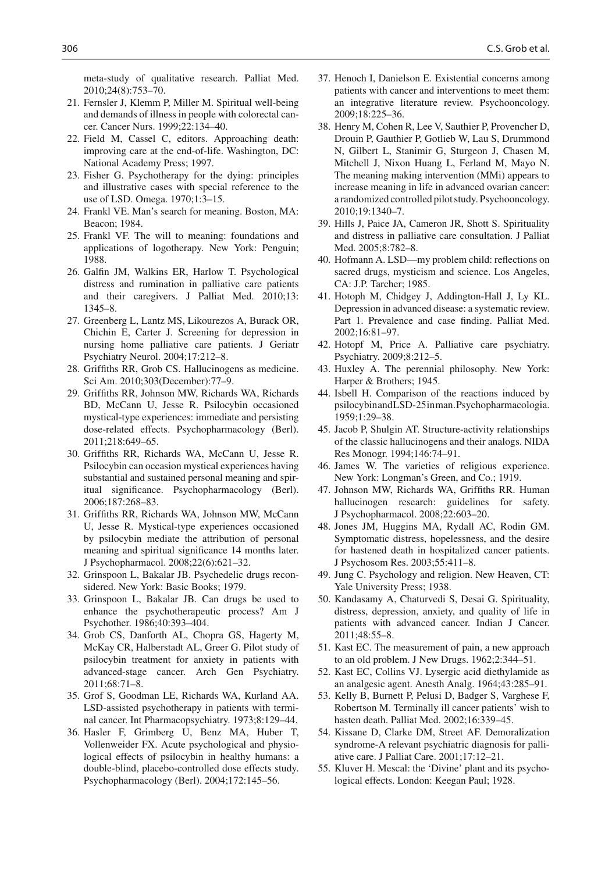meta-study of qualitative research. Palliat Med. 2010;24(8):753–70.

- <span id="page-15-21"></span> 21. Fernsler J, Klemm P, Miller M. Spiritual well-being and demands of illness in people with colorectal cancer. Cancer Nurs. 1999;22:134–40.
- <span id="page-15-20"></span> 22. Field M, Cassel C, editors. Approaching death: improving care at the end-of-life. Washington, DC: National Academy Press; 1997.
- <span id="page-15-12"></span> 23. Fisher G. Psychotherapy for the dying: principles and illustrative cases with special reference to the use of LSD. Omega. 1970;1:3–15.
- <span id="page-15-25"></span> 24. Frankl VE. Man's search for meaning. Boston, MA: Beacon; 1984.
- <span id="page-15-26"></span> 25. Frankl VF. The will to meaning: foundations and applications of logotherapy. New York: Penguin; 1988.
- <span id="page-15-23"></span>26. Galfin JM, Walkins ER, Harlow T. Psychological distress and rumination in palliative care patients and their caregivers. J Palliat Med. 2010;13: 1345–8.
- <span id="page-15-18"></span> 27. Greenberg L, Lantz MS, Likourezos A, Burack OR, Chichin E, Carter J. Screening for depression in nursing home palliative care patients. J Geriatr Psychiatry Neurol. 2004;17:212–8.
- <span id="page-15-34"></span>28. Griffiths RR, Grob CS. Hallucinogens as medicine. Sci Am. 2010;303(December):77–9.
- <span id="page-15-32"></span>29. Griffiths RR, Johnson MW, Richards WA, Richards BD, McCann U, Jesse R. Psilocybin occasioned mystical-type experiences: immediate and persisting dose-related effects. Psychopharmacology (Berl). 2011;218:649–65.
- <span id="page-15-2"></span>30. Griffiths RR, Richards WA, McCann U, Jesse R. Psilocybin can occasion mystical experiences having substantial and sustained personal meaning and spiritual significance. Psychopharmacology (Berl). 2006;187:268–83.
- <span id="page-15-33"></span>31. Griffiths RR, Richards WA, Johnson MW, McCann U, Jesse R. Mystical-type experiences occasioned by psilocybin mediate the attribution of personal meaning and spiritual significance 14 months later. J Psychopharmacol. 2008;22(6):621–32.
- <span id="page-15-8"></span> 32. Grinspoon L, Bakalar JB. Psychedelic drugs reconsidered. New York: Basic Books; 1979.
- <span id="page-15-7"></span> 33. Grinspoon L, Bakalar JB. Can drugs be used to enhance the psychotherapeutic process? Am J Psychother. 1986;40:393–404.
- <span id="page-15-13"></span> 34. Grob CS, Danforth AL, Chopra GS, Hagerty M, McKay CR, Halberstadt AL, Greer G. Pilot study of psilocybin treatment for anxiety in patients with advanced-stage cancer. Arch Gen Psychiatry. 2011;68:71–8.
- <span id="page-15-11"></span> 35. Grof S, Goodman LE, Richards WA, Kurland AA. LSD-assisted psychotherapy in patients with terminal cancer. Int Pharmacopsychiatry. 1973;8:129–44.
- <span id="page-15-1"></span> 36. Hasler F, Grimberg U, Benz MA, Huber T, Vollenweider FX. Acute psychological and physiological effects of psilocybin in healthy humans: a double-blind, placebo-controlled dose effects study. Psychopharmacology (Berl). 2004;172:145–56.
- <span id="page-15-27"></span> 37. Henoch I, Danielson E. Existential concerns among patients with cancer and interventions to meet them: an integrative literature review. Psychooncology. 2009;18:225–36.
- <span id="page-15-28"></span> 38. Henry M, Cohen R, Lee V, Sauthier P, Provencher D, Drouin P, Gauthier P, Gotlieb W, Lau S, Drummond N, Gilbert L, Stanimir G, Sturgeon J, Chasen M, Mitchell J, Nixon Huang L, Ferland M, Mayo N. The meaning making intervention (MMi) appears to increase meaning in life in advanced ovarian cancer: a randomized controlled pilot study. Psychooncology. 2010;19:1340–7.
- <span id="page-15-22"></span> 39. Hills J, Paice JA, Cameron JR, Shott S. Spirituality and distress in palliative care consultation. J Palliat Med. 2005;8:782–8.
- <span id="page-15-6"></span>40. Hofmann A. LSD—my problem child: reflections on sacred drugs, mysticism and science. Los Angeles, CA: J.P. Tarcher; 1985.
- <span id="page-15-16"></span> 41. Hotoph M, Chidgey J, Addington-Hall J, Ly KL. Depression in advanced disease: a systematic review. Part 1. Prevalence and case finding. Palliat Med. 2002;16:81–97.
- <span id="page-15-17"></span> 42. Hotopf M, Price A. Palliative care psychiatry. Psychiatry. 2009;8:212–5.
- <span id="page-15-29"></span> 43. Huxley A. The perennial philosophy. New York: Harper & Brothers; 1945.
- <span id="page-15-0"></span> 44. Isbell H. Comparison of the reactions induced by psilocybin and LSD-25 in man. Psychopharmacologia. 1959;1:29–38.
- <span id="page-15-4"></span> 45. Jacob P, Shulgin AT. Structure-activity relationships of the classic hallucinogens and their analogs. NIDA Res Monogr. 1994;146:74–91.
- <span id="page-15-31"></span> 46. James W. The varieties of religious experience. New York: Longman's Green, and Co.; 1919.
- <span id="page-15-3"></span>47. Johnson MW, Richards WA, Griffiths RR. Human hallucinogen research: guidelines for safety. J Psychopharmacol. 2008;22:603–20.
- <span id="page-15-14"></span> 48. Jones JM, Huggins MA, Rydall AC, Rodin GM. Symptomatic distress, hopelessness, and the desire for hastened death in hospitalized cancer patients. J Psychosom Res. 2003;55:411–8.
- <span id="page-15-30"></span> 49. Jung C. Psychology and religion. New Heaven, CT: Yale University Press; 1938.
- <span id="page-15-15"></span> 50. Kandasamy A, Chaturvedi S, Desai G. Spirituality, distress, depression, anxiety, and quality of life in patients with advanced cancer. Indian J Cancer. 2011;48:55–8.
- <span id="page-15-9"></span> 51. Kast EC. The measurement of pain, a new approach to an old problem. J New Drugs. 1962;2:344–51.
- <span id="page-15-10"></span> 52. Kast EC, Collins VJ. Lysergic acid diethylamide as an analgesic agent. Anesth Analg. 1964;43:285–91.
- <span id="page-15-19"></span> 53. Kelly B, Burnett P, Pelusi D, Badger S, Varghese F, Robertson M. Terminally ill cancer patients' wish to hasten death. Palliat Med. 2002;16:339–45.
- <span id="page-15-24"></span> 54. Kissane D, Clarke DM, Street AF. Demoralization syndrome-A relevant psychiatric diagnosis for palliative care. J Palliat Care. 2001;17:12–21.
- <span id="page-15-5"></span> 55. Kluver H. Mescal: the 'Divine' plant and its psychological effects. London: Keegan Paul; 1928.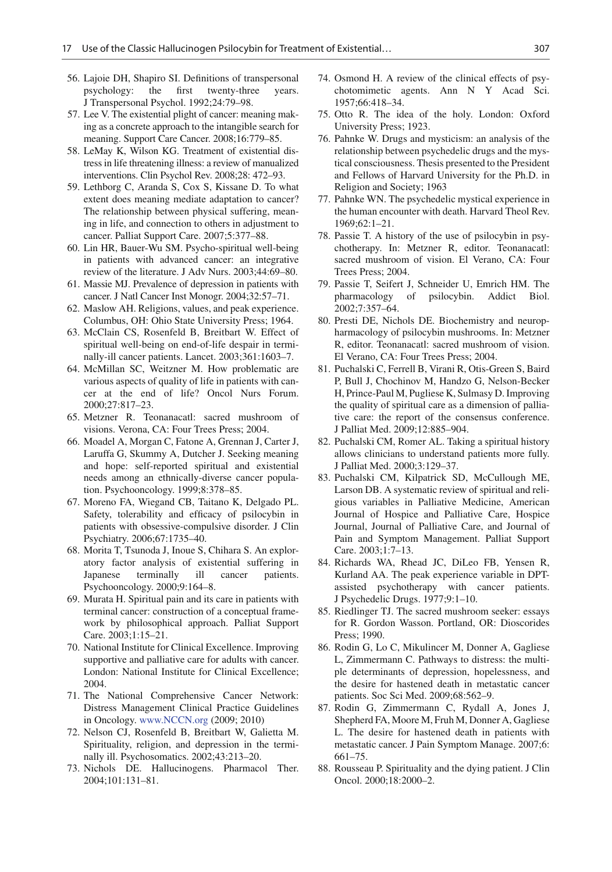- <span id="page-16-29"></span>56. Lajoie DH, Shapiro SI. Definitions of transpersonal psychology: the first twenty-three years. J Transpersonal Psychol. 1992;24:79–98.
- <span id="page-16-10"></span> 57. Lee V. The existential plight of cancer: meaning making as a concrete approach to the intangible search for meaning. Support Care Cancer. 2008;16:779–85.
- <span id="page-16-26"></span> 58. LeMay K, Wilson KG. Treatment of existential distress in life threatening illness: a review of manualized interventions. Clin Psychol Rev. 2008;28: 472–93.
- <span id="page-16-27"></span> 59. Lethborg C, Aranda S, Cox S, Kissane D. To what extent does meaning mediate adaptation to cancer? The relationship between physical suffering, meaning in life, and connection to others in adjustment to cancer. Palliat Support Care. 2007;5:377–88.
- <span id="page-16-20"></span> 60. Lin HR, Bauer-Wu SM. Psycho-spiritual well-being in patients with advanced cancer: an integrative review of the literature. J Adv Nurs. 2003;44:69–80.
- <span id="page-16-12"></span> 61. Massie MJ. Prevalence of depression in patients with cancer. J Natl Cancer Inst Monogr. 2004;32:57–71.
- <span id="page-16-30"></span> 62. Maslow AH. Religions, values, and peak experience. Columbus, OH: Ohio State University Press; 1964.
- <span id="page-16-22"></span> 63. McClain CS, Rosenfeld B, Breitbart W. Effect of spiritual well-being on end-of-life despair in terminally-ill cancer patients. Lancet. 2003;361:1603–7.
- <span id="page-16-24"></span> 64. McMillan SC, Weitzner M. How problematic are various aspects of quality of life in patients with cancer at the end of life? Oncol Nurs Forum. 2000;27:817–23.
- <span id="page-16-0"></span> 65. Metzner R. Teonanacatl: sacred mushroom of visions. Verona, CA: Four Trees Press; 2004.
- <span id="page-16-14"></span> 66. Moadel A, Morgan C, Fatone A, Grennan J, Carter J, Laruffa G, Skummy A, Dutcher J. Seeking meaning and hope: self-reported spiritual and existential needs among an ethnically-diverse cancer population. Psychooncology. 1999;8:378–85.
- <span id="page-16-6"></span> 67. Moreno FA, Wiegand CB, Taitano K, Delgado PL. Safety, tolerability and efficacy of psilocybin in patients with obsessive-compulsive disorder. J Clin Psychiatry. 2006;67:1735–40.
- <span id="page-16-25"></span> 68. Morita T, Tsunoda J, Inoue S, Chihara S. An exploratory factor analysis of existential suffering in Japanese terminally ill cancer patients. Psychooncology. 2000;9:164–8.
- <span id="page-16-17"></span> 69. Murata H. Spiritual pain and its care in patients with terminal cancer: construction of a conceptual framework by philosophical approach. Palliat Support Care. 2003;1:15–21.
- <span id="page-16-15"></span> 70. National Institute for Clinical Excellence. Improving supportive and palliative care for adults with cancer. London: National Institute for Clinical Excellence; 2004.
- <span id="page-16-13"></span> 71. The National Comprehensive Cancer Network: Distress Management Clinical Practice Guidelines in Oncology. [www.NCCN.org](http://www.NCCN.org) (2009; 2010)
- <span id="page-16-21"></span> 72. Nelson CJ, Rosenfeld B, Breitbart W, Galietta M. Spirituality, religion, and depression in the terminally ill. Psychosomatics. 2002;43:213–20.
- <span id="page-16-4"></span> 73. Nichols DE. Hallucinogens. Pharmacol Ther. 2004;101:131–81.
- <span id="page-16-7"></span> 74. Osmond H. A review of the clinical effects of psychotomimetic agents. Ann N Y Acad Sci. 1957;66:418–34.
- <span id="page-16-31"></span> 75. Otto R. The idea of the holy. London: Oxford University Press; 1923.
- <span id="page-16-32"></span> 76. Pahnke W. Drugs and mysticism: an analysis of the relationship between psychedelic drugs and the mystical consciousness. Thesis presented to the President and Fellows of Harvard University for the Ph.D. in Religion and Society; 1963
- <span id="page-16-8"></span> 77. Pahnke WN. The psychedelic mystical experience in the human encounter with death. Harvard Theol Rev. 1969;62:1–21.
- <span id="page-16-5"></span> 78. Passie T. A history of the use of psilocybin in psychotherapy. In: Metzner R, editor. Teonanacatl: sacred mushroom of vision. El Verano, CA: Four Trees Press; 2004.
- <span id="page-16-2"></span> 79. Passie T, Seifert J, Schneider U, Emrich HM. The pharmacology of psilocybin. Addict Biol. 2002;7:357–64.
- <span id="page-16-3"></span> 80. Presti DE, Nichols DE. Biochemistry and neuropharmacology of psilocybin mushrooms. In: Metzner R, editor. Teonanacatl: sacred mushroom of vision. El Verano, CA: Four Trees Press; 2004.
- <span id="page-16-18"></span> 81. Puchalski C, Ferrell B, Virani R, Otis-Green S, Baird P, Bull J, Chochinov M, Handzo G, Nelson-Becker H, Prince-Paul M, Pugliese K, Sulmasy D. Improving the quality of spiritual care as a dimension of palliative care: the report of the consensus conference. J Palliat Med. 2009;12:885–904.
- <span id="page-16-19"></span> 82. Puchalski CM, Romer AL. Taking a spiritual history allows clinicians to understand patients more fully. J Palliat Med. 2000;3:129–37.
- <span id="page-16-28"></span> 83. Puchalski CM, Kilpatrick SD, McCullough ME, Larson DB. A systematic review of spiritual and religious variables in Palliative Medicine, American Journal of Hospice and Palliative Care, Hospice Journal, Journal of Palliative Care, and Journal of Pain and Symptom Management. Palliat Support Care. 2003;1:7–13.
- <span id="page-16-9"></span> 84. Richards WA, Rhead JC, DiLeo FB, Yensen R, Kurland AA. The peak experience variable in DPTassisted psychotherapy with cancer patients. J Psychedelic Drugs. 1977;9:1–10.
- <span id="page-16-1"></span> 85. Riedlinger TJ. The sacred mushroom seeker: essays for R. Gordon Wasson. Portland, OR: Dioscorides Press; 1990.
- <span id="page-16-11"></span> 86. Rodin G, Lo C, Mikulincer M, Donner A, Gagliese L, Zimmermann C. Pathways to distress: the multiple determinants of depression, hopelessness, and the desire for hastened death in metastatic cancer patients. Soc Sci Med. 2009;68:562–9.
- <span id="page-16-23"></span> 87. Rodin G, Zimmermann C, Rydall A, Jones J, Shepherd FA, Moore M, Fruh M, Donner A, Gagliese L. The desire for hastened death in patients with metastatic cancer. J Pain Symptom Manage. 2007;6: 661–75.
- <span id="page-16-16"></span> 88. Rousseau P. Spirituality and the dying patient. J Clin Oncol. 2000;18:2000–2.